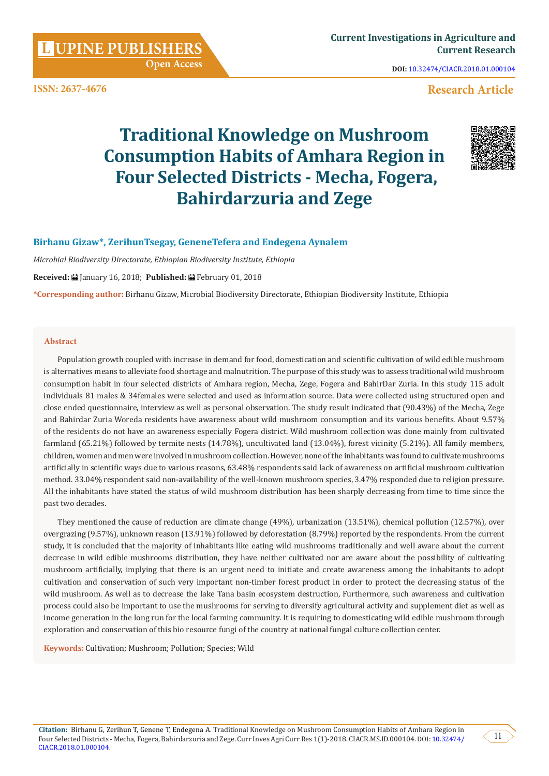**UPINE PUBLISHERS** 

**ISSN: 2637-4676**

**DOI:** [10.32474/CIACR.2018.01.000104](http://dx.doi.org/10.32474/CIACR.2018.01.000104)

# **Research Article**

# **Traditional Knowledge on Mushroom Consumption Habits of Amhara Region in Four Selected Districts - Mecha, Fogera, Bahirdarzuria and Zege**



# **Birhanu Gizaw\*, ZerihunTsegay, GeneneTefera and Endegena Aynalem**

*Microbial Biodiversity Directorate, Ethiopian Biodiversity Institute, Ethiopia*

 **Open Access**

**Received:** January 16, 2018; **Published:** February 01, 2018

**\*Corresponding author:** Birhanu Gizaw, Microbial Biodiversity Directorate, Ethiopian Biodiversity Institute, Ethiopia

#### **Abstract**

Population growth coupled with increase in demand for food, domestication and scientific cultivation of wild edible mushroom is alternatives means to alleviate food shortage and malnutrition. The purpose of this study was to assess traditional wild mushroom consumption habit in four selected districts of Amhara region, Mecha, Zege, Fogera and BahirDar Zuria. In this study 115 adult individuals 81 males & 34females were selected and used as information source. Data were collected using structured open and close ended questionnaire, interview as well as personal observation. The study result indicated that (90.43%) of the Mecha, Zege and Bahirdar Zuria Woreda residents have awareness about wild mushroom consumption and its various benefits. About 9.57% of the residents do not have an awareness especially Fogera district. Wild mushroom collection was done mainly from cultivated farmland (65.21%) followed by termite nests (14.78%), uncultivated land (13.04%), forest vicinity (5.21%). All family members, children, women and men were involved in mushroom collection. However, none of the inhabitants was found to cultivate mushrooms artificially in scientific ways due to various reasons, 63.48% respondents said lack of awareness on artificial mushroom cultivation method. 33.04% respondent said non-availability of the well-known mushroom species, 3.47% responded due to religion pressure. All the inhabitants have stated the status of wild mushroom distribution has been sharply decreasing from time to time since the past two decades.

They mentioned the cause of reduction are climate change (49%), urbanization (13.51%), chemical pollution (12.57%), over overgrazing (9.57%), unknown reason (13.91%) followed by deforestation (8.79%) reported by the respondents. From the current study, it is concluded that the majority of inhabitants like eating wild mushrooms traditionally and well aware about the current decrease in wild edible mushrooms distribution, they have neither cultivated nor are aware about the possibility of cultivating mushroom artificially, implying that there is an urgent need to initiate and create awareness among the inhabitants to adopt cultivation and conservation of such very important non-timber forest product in order to protect the decreasing status of the wild mushroom. As well as to decrease the lake Tana basin ecosystem destruction, Furthermore, such awareness and cultivation process could also be important to use the mushrooms for serving to diversify agricultural activity and supplement diet as well as income generation in the long run for the local farming community. It is requiring to domesticating wild edible mushroom through exploration and conservation of this bio resource fungi of the country at national fungal culture collection center.

**Keywords:** Cultivation; Mushroom; Pollution; Species; Wild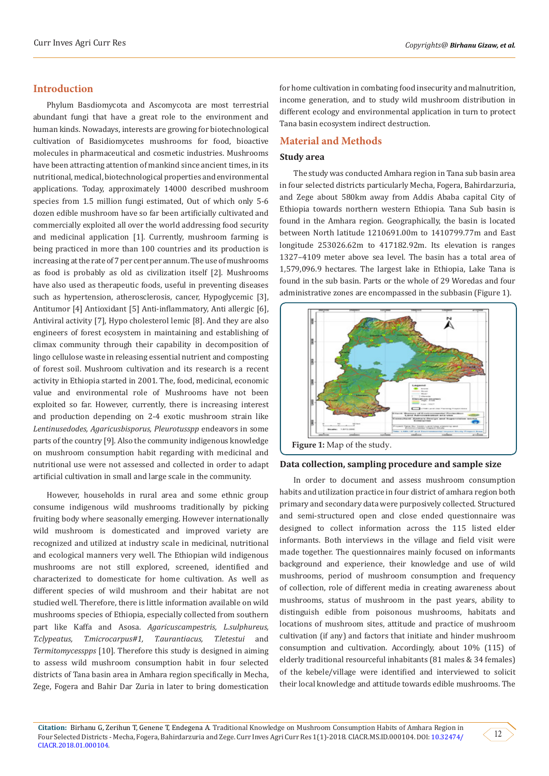# **Introduction**

Phylum Basdiomycota and Ascomycota are most terrestrial abundant fungi that have a great role to the environment and human kinds. Nowadays, interests are growing for biotechnological cultivation of Basidiomycetes mushrooms for food, bioactive molecules in pharmaceutical and cosmetic industries. Mushrooms have been attracting attention of mankind since ancient times, in its nutritional, medical, biotechnological properties and environmental applications. Today, approximately 14000 described mushroom species from 1.5 million fungi estimated, Out of which only 5-6 dozen edible mushroom have so far been artificially cultivated and commercially exploited all over the world addressing food security and medicinal application [1]. Currently, mushroom farming is being practiced in more than 100 countries and its production is increasing at the rate of 7 per cent per annum. The use of mushrooms as food is probably as old as civilization itself [2]. Mushrooms have also used as therapeutic foods, useful in preventing diseases such as hypertension, atherosclerosis, cancer, Hypoglycemic [3], Antitumor [4] Antioxidant [5] Anti-inflammatory, Anti allergic [6], Antiviral activity [7], Hypo cholesterol lemic [8]. And they are also engineers of forest ecosystem in maintaining and establishing of climax community through their capability in decomposition of lingo cellulose waste in releasing essential nutrient and composting of forest soil. Mushroom cultivation and its research is a recent activity in Ethiopia started in 2001. The, food, medicinal, economic value and environmental role of Mushrooms have not been exploited so far. However, currently, there is increasing interest and production depending on 2-4 exotic mushroom strain like *Lentinusedodes, Agaricusbisporus, Pleurotusspp* endeavors in some parts of the country [9]. Also the community indigenous knowledge on mushroom consumption habit regarding with medicinal and nutritional use were not assessed and collected in order to adapt artificial cultivation in small and large scale in the community.

However, households in rural area and some ethnic group consume indigenous wild mushrooms traditionally by picking fruiting body where seasonally emerging. However internationally wild mushroom is domesticated and improved variety are recognized and utilized at industry scale in medicinal, nutritional and ecological manners very well. The Ethiopian wild indigenous mushrooms are not still explored, screened, identified and characterized to domesticate for home cultivation. As well as different species of wild mushroom and their habitat are not studied well. Therefore, there is little information available on wild mushrooms species of Ethiopia, especially collected from southern part like Kaffa and Asosa. *Agaricuscampestris, L.sulphureus, T.clypeatus, T.microcarpus#1, T.aurantiacus, T.letestui* and *Termitomycesspps* [10]. Therefore this study is designed in aiming to assess wild mushroom consumption habit in four selected districts of Tana basin area in Amhara region specifically in Mecha, Zege, Fogera and Bahir Dar Zuria in later to bring domestication

for home cultivation in combating food insecurity and malnutrition, income generation, and to study wild mushroom distribution in different ecology and environmental application in turn to protect Tana basin ecosystem indirect destruction.

## **Material and Methods**

## **Study area**

The study was conducted Amhara region in Tana sub basin area in four selected districts particularly Mecha, Fogera, Bahirdarzuria, and Zege about 580km away from Addis Ababa capital City of Ethiopia towards northern western Ethiopia. Tana Sub basin is found in the Amhara region. Geographically, the basin is located between North latitude 1210691.00m to 1410799.77m and East longitude 253026.62m to 417182.92m. Its elevation is ranges 1327–4109 meter above sea level. The basin has a total area of 1,579,096.9 hectares. The largest lake in Ethiopia, Lake Tana is found in the sub basin. Parts or the whole of 29 Woredas and four administrative zones are encompassed in the subbasin (Figure 1).



#### **Data collection, sampling procedure and sample size**

In order to document and assess mushroom consumption habits and utilization practice in four district of amhara region both primary and secondary data were purposively collected. Structured and semi-structured open and close ended questionnaire was designed to collect information across the 115 listed elder informants. Both interviews in the village and field visit were made together. The questionnaires mainly focused on informants background and experience, their knowledge and use of wild mushrooms, period of mushroom consumption and frequency of collection, role of different media in creating awareness about mushrooms, status of mushroom in the past years, ability to distinguish edible from poisonous mushrooms, habitats and locations of mushroom sites, attitude and practice of mushroom cultivation (if any) and factors that initiate and hinder mushroom consumption and cultivation. Accordingly, about 10% (115) of elderly traditional resourceful inhabitants (81 males & 34 females) of the kebele/village were identified and interviewed to solicit their local knowledge and attitude towards edible mushrooms. The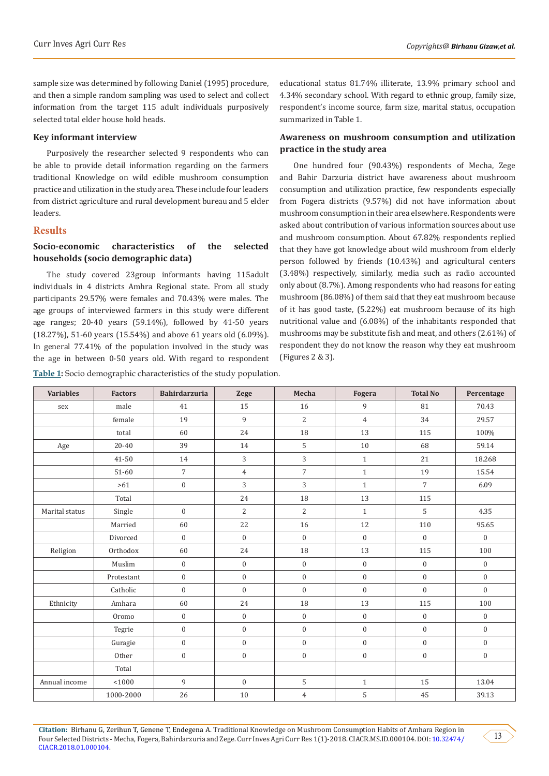sample size was determined by following Daniel (1995) procedure, and then a simple random sampling was used to select and collect information from the target 115 adult individuals purposively selected total elder house hold heads.

#### **Key informant interview**

Purposively the researcher selected 9 respondents who can be able to provide detail information regarding on the farmers traditional Knowledge on wild edible mushroom consumption practice and utilization in the study area. These include four leaders from district agriculture and rural development bureau and 5 elder leaders.

# **Results**

# **Socio-economic characteristics of the selected households (socio demographic data)**

The study covered 23group informants having 115adult individuals in 4 districts Amhra Regional state. From all study participants 29.57% were females and 70.43% were males. The age groups of interviewed farmers in this study were different age ranges; 20-40 years (59.14%), followed by 41-50 years (18.27%), 51-60 years (15.54%) and above 61 years old (6.09%). In general 77.41% of the population involved in the study was the age in between 0-50 years old. With regard to respondent

**Table 1:** Socio demographic characteristics of the study population.

educational status 81.74% illiterate, 13.9% primary school and 4.34% secondary school. With regard to ethnic group, family size, respondent's income source, farm size, marital status, occupation summarized in Table 1.

# **Awareness on mushroom consumption and utilization practice in the study area**

One hundred four (90.43%) respondents of Mecha, Zege and Bahir Darzuria district have awareness about mushroom consumption and utilization practice, few respondents especially from Fogera districts (9.57%) did not have information about mushroom consumption in their area elsewhere. Respondents were asked about contribution of various information sources about use and mushroom consumption. About 67.82% respondents replied that they have got knowledge about wild mushroom from elderly person followed by friends (10.43%) and agricultural centers (3.48%) respectively, similarly, media such as radio accounted only about (8.7%). Among respondents who had reasons for eating mushroom (86.08%) of them said that they eat mushroom because of it has good taste, (5.22%) eat mushroom because of its high nutritional value and (6.08%) of the inhabitants responded that mushrooms may be substitute fish and meat, and others (2.61%) of respondent they do not know the reason why they eat mushroom (Figures 2 & 3).

| <b>Variables</b> | <b>Factors</b> | <b>Bahirdarzuria</b> | <b>Zege</b>      | Mecha            | Fogera           | <b>Total No</b>  | Percentage       |
|------------------|----------------|----------------------|------------------|------------------|------------------|------------------|------------------|
| sex              | male           | 41                   | 15               | 16               | 9                | 81               | 70.43            |
|                  | female         | 19                   | 9                | $\overline{2}$   | $\overline{4}$   | 34               | 29.57            |
|                  | total          | 60                   | 24               | 18               | 13               | 115              | 100%             |
| Age              | $20 - 40$      | 39                   | 14               | 5                | 10               | 68               | 59.14            |
|                  | 41-50          | 14                   | 3                | 3                | $\mathbf{1}$     | 21               | 18.268           |
|                  | 51-60          | $\overline{7}$       | $\overline{4}$   | $\overline{7}$   | $\mathbf{1}$     | 19               | 15.54            |
|                  | $>61$          | $\boldsymbol{0}$     | 3                | 3                | $\mathbf{1}$     | $\overline{7}$   | 6.09             |
|                  | Total          |                      | 24               | 18               | 13               | 115              |                  |
| Marital status   | Single         | $\boldsymbol{0}$     | 2                | $\overline{2}$   | $1\,$            | 5                | 4.35             |
|                  | Married        | 60                   | 22               | 16               | 12               | 110              | 95.65            |
|                  | Divorced       | $\boldsymbol{0}$     | $\boldsymbol{0}$ | $\boldsymbol{0}$ | $\boldsymbol{0}$ | $\mathbf{0}$     | $\boldsymbol{0}$ |
| Religion         | Orthodox       | 60                   | 24               | 18               | 13               | 115              | 100              |
|                  | Muslim         | $\boldsymbol{0}$     | $\boldsymbol{0}$ | $\boldsymbol{0}$ | $\boldsymbol{0}$ | $\mathbf{0}$     | $\mathbf{0}$     |
|                  | Protestant     | $\boldsymbol{0}$     | $\mathbf 0$      | $\mathbf{0}$     | $\mathbf{0}$     | $\mathbf{0}$     | $\boldsymbol{0}$ |
|                  | Catholic       | $\boldsymbol{0}$     | $\boldsymbol{0}$ | $\boldsymbol{0}$ | $\boldsymbol{0}$ | $\mathbf{0}$     | $\overline{0}$   |
| Ethnicity        | Amhara         | 60                   | 24               | 18               | 13               | 115              | 100              |
|                  | Oromo          | $\boldsymbol{0}$     | $\boldsymbol{0}$ | $\mathbf{0}$     | $\mathbf{0}$     | $\mathbf{0}$     | $\mathbf{0}$     |
|                  | Tegrie         | $\overline{0}$       | $\mathbf{0}$     | $\boldsymbol{0}$ | $\mathbf{0}$     | $\mathbf{0}$     | $\boldsymbol{0}$ |
|                  | Guragie        | $\boldsymbol{0}$     | $\boldsymbol{0}$ | $\mathbf{0}$     | $\boldsymbol{0}$ | $\boldsymbol{0}$ | $\mathbf{0}$     |
|                  | Other          | $\boldsymbol{0}$     | $\boldsymbol{0}$ | $\mathbf{0}$     | $\boldsymbol{0}$ | $\boldsymbol{0}$ | $\boldsymbol{0}$ |
|                  | Total          |                      |                  |                  |                  |                  |                  |
| Annual income    | 1000           | 9                    | $\boldsymbol{0}$ | 5                | $\,1\,$          | 15               | 13.04            |
|                  | 1000-2000      | 26                   | $10\,$           | $\overline{4}$   | 5                | 45               | 39.13            |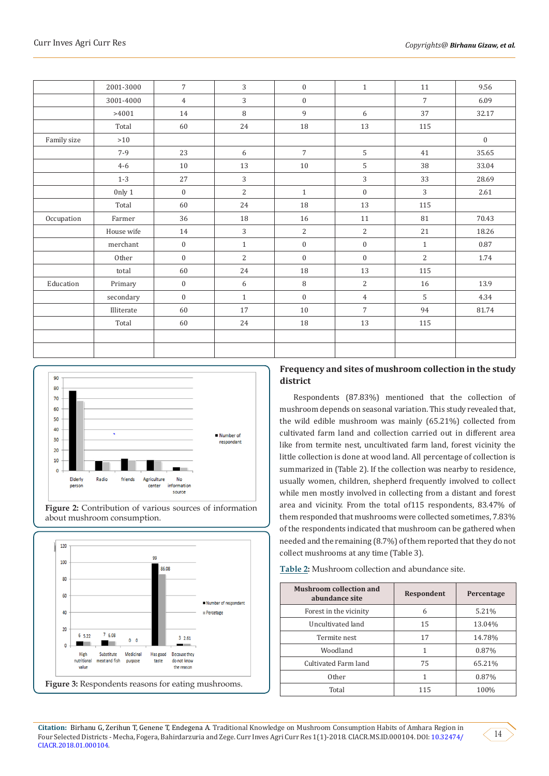|             | 2001-3000  | $\overline{7}$ | 3              | $\boldsymbol{0}$ | $\mathbf{1}$     | 11             | 9.56             |
|-------------|------------|----------------|----------------|------------------|------------------|----------------|------------------|
|             | 3001-4000  | $\overline{4}$ | 3              | $\boldsymbol{0}$ |                  | $\overline{7}$ | 6.09             |
|             | >4001      | 14             | 8              | 9                | 6                | 37             | 32.17            |
|             | Total      | 60             | 24             | 18               | 13               | 115            |                  |
| Family size | $>10$      |                |                |                  |                  |                | $\boldsymbol{0}$ |
|             | $7-9$      | 23             | 6              | $\overline{7}$   | 5                | 41             | 35.65            |
|             | $4 - 6$    | 10             | 13             | 10               | 5                | 38             | 33.04            |
|             | $1 - 3$    | 27             | 3              |                  | 3                | 33             | 28.69            |
|             | 0nly 1     | $\mathbf{0}$   | $\overline{c}$ | $\mathbf{1}$     | $\boldsymbol{0}$ | 3              | 2.61             |
|             | Total      | 60             | 24             | $18\,$           | 13               | 115            |                  |
| Occupation  | Farmer     | 36             | 18             | 16               | 11               | 81             | 70.43            |
|             | House wife | 14             | 3              | $\overline{c}$   | 2                | 21             | 18.26            |
|             | merchant   | $\mathbf{0}$   | $\mathbf{1}$   | $\boldsymbol{0}$ | $\boldsymbol{0}$ | $\mathbf{1}$   | 0.87             |
|             | Other      | $\mathbf{0}$   | $\overline{c}$ | $\boldsymbol{0}$ | $\boldsymbol{0}$ | 2              | 1.74             |
|             | total      | 60             | 24             | 18               | 13               | 115            |                  |
| Education   | Primary    | $\mathbf{0}$   | 6              | 8                | $\overline{2}$   | 16             | 13.9             |
|             | secondary  | $\mathbf{0}$   | $\mathbf{1}$   | $\mathbf{0}$     | $\overline{4}$   | 5              | 4.34             |
|             | Illiterate | 60             | 17             | $10\,$           | $\overline{7}$   | 94             | 81.74            |
|             | Total      | 60             | 24             | 18               | 13               | 115            |                  |
|             |            |                |                |                  |                  |                |                  |
|             |            |                |                |                  |                  |                |                  |



**Figure 2:** Contribution of various sources of information about mushroom consumption.



# **Frequency and sites of mushroom collection in the study district**

Respondents (87.83%) mentioned that the collection of mushroom depends on seasonal variation. This study revealed that, the wild edible mushroom was mainly (65.21%) collected from cultivated farm land and collection carried out in different area like from termite nest, uncultivated farm land, forest vicinity the little collection is done at wood land. All percentage of collection is summarized in (Table 2). If the collection was nearby to residence, usually women, children, shepherd frequently involved to collect while men mostly involved in collecting from a distant and forest area and vicinity. From the total of115 respondents, 83.47% of them responded that mushrooms were collected sometimes, 7.83% of the respondents indicated that mushroom can be gathered when needed and the remaining (8.7%) of them reported that they do not collect mushrooms at any time (Table 3).

**Table 2:** Mushroom collection and abundance site.

| <b>Mushroom collection and</b><br>abundance site | Respondent | Percentage |
|--------------------------------------------------|------------|------------|
| Forest in the vicinity                           | 6          | 5.21%      |
| Uncultivated land                                | 15         | 13.04%     |
| Termite nest                                     | 17         | 14.78%     |
| Woodland                                         | 1          | 0.87%      |
| Cultivated Farm land                             | 75         | 65.21%     |
| Other                                            |            | 0.87%      |
| Total                                            | 115        | 100%       |

**Citation:** Birhanu G, Zerihun T, Genene T, Endegena A. Traditional Knowledge on Mushroom Consumption Habits of Amhara Region in Four Selected Districts - Mecha, Fogera, Bahirdarzuria and Zege. Curr Inves Agri Curr Res 1(1)-2018. CIACR.MS.ID.000104. DOI: [10.32474/](http://dx.doi.org/10.32474/CIACR.2018.01.000104) [CIACR.2018.01.000104.](http://dx.doi.org/10.32474/CIACR.2018.01.000104)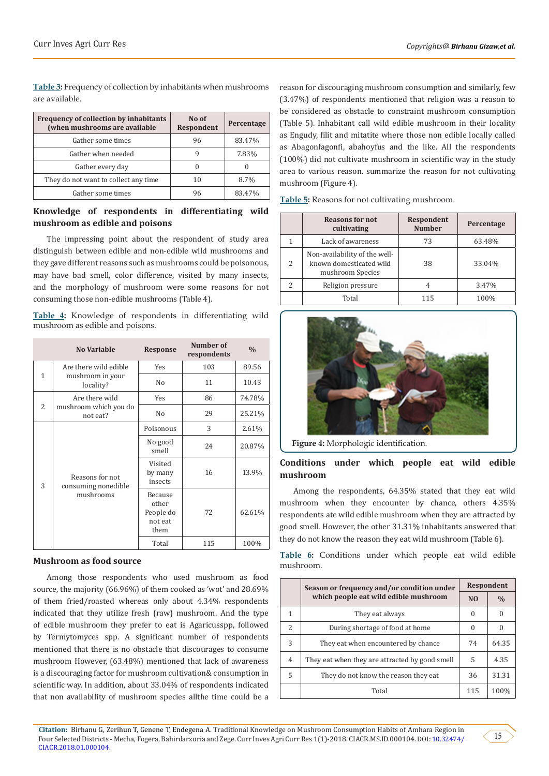**Table 3:** Frequency of collection by inhabitants when mushrooms are available.

| <b>Frequency of collection by inhabitants</b><br>(when mushrooms are available | No of<br>Respondent | Percentage |
|--------------------------------------------------------------------------------|---------------------|------------|
| Gather some times                                                              | 96                  | 83.47%     |
| Gather when needed                                                             | g                   | 7.83%      |
| Gather every day                                                               |                     |            |
| They do not want to collect any time                                           | 10                  | 8.7%       |
| Gather some times                                                              | 96                  | 83.47%     |

# **Knowledge of respondents in differentiating wild mushroom as edible and poisons**

The impressing point about the respondent of study area distinguish between edible and non-edible wild mushrooms and they gave different reasons such as mushrooms could be poisonous, may have bad smell, color difference, visited by many insects, and the morphology of mushroom were some reasons for not consuming those non-edible mushrooms (Table 4).

**Table 4:** Knowledge of respondents in differentiating wild mushroom as edible and poisons.

|                | <b>No Variable</b>                                     | Response                                         | Number of<br>respondents | $\frac{0}{0}$ |
|----------------|--------------------------------------------------------|--------------------------------------------------|--------------------------|---------------|
| $\mathbf{1}$   | Are there wild edible<br>mushroom in your<br>locality? | Yes                                              | 103                      | 89.56         |
|                |                                                        | No                                               | 11                       | 10.43         |
|                | Are there wild                                         | Yes                                              | 86                       | 74.78%        |
| $\overline{2}$ | mushroom which you do<br>not eat?                      | No                                               | 29                       | 25.21%        |
| 3              | Reasons for not<br>consuming nonedible<br>mushrooms    | Poisonous                                        | 3                        | 2.61%         |
|                |                                                        | No good<br>smell                                 | 24                       | 20.87%        |
|                |                                                        | Visited<br>by many<br>insects                    | 16                       | 13.9%         |
|                |                                                        | Because<br>other<br>People do<br>not eat<br>them | 72                       | 62.61%        |
|                |                                                        | Total                                            | 115                      | 100%          |

## **Mushroom as food source**

Among those respondents who used mushroom as food source, the majority (66.96%) of them cooked as 'wot' and 28.69% of them fried/roasted whereas only about 4.34% respondents indicated that they utilize fresh (raw) mushroom. And the type of edible mushroom they prefer to eat is Agaricusspp, followed by Termytomyces spp. A significant number of respondents mentioned that there is no obstacle that discourages to consume mushroom However, (63.48%) mentioned that lack of awareness is a discouraging factor for mushroom cultivation& consumption in scientific way. In addition, about 33.04% of respondents indicated that non availability of mushroom species allthe time could be a

reason for discouraging mushroom consumption and similarly, few (3.47%) of respondents mentioned that religion was a reason to be considered as obstacle to constraint mushroom consumption (Table 5). Inhabitant call wild edible mushroom in their locality as Engudy, filit and mitatite where those non edible locally called as Abagonfagonfi, abahoyfus and the like. All the respondents (100%) did not cultivate mushroom in scientific way in the study area to various reason. summarize the reason for not cultivating mushroom (Figure 4).

|               | <b>Reasons for not</b><br>cultivating                                        | Respondent<br><b>Number</b> | Percentage |
|---------------|------------------------------------------------------------------------------|-----------------------------|------------|
|               | Lack of awareness                                                            | 73                          | 63.48%     |
| $\mathcal{P}$ | Non-availability of the well-<br>known domesticated wild<br>mushroom Species | 38                          | 33.04%     |
|               | Religion pressure                                                            |                             | 3.47%      |
|               | Total                                                                        | 115                         | 100%       |

**Table 5:** Reasons for not cultivating mushroom.



**Figure 4:** Morphologic identification.

# **Conditions under which people eat wild edible mushroom**

Among the respondents, 64.35% stated that they eat wild mushroom when they encounter by chance, others 4.35% respondents ate wild edible mushroom when they are attracted by good smell. However, the other 31.31% inhabitants answered that they do not know the reason they eat wild mushroom (Table 6).

**Table 6:** Conditions under which people eat wild edible mushroom.

|                | Season or frequency and/or condition under<br>which people eat wild edible mushroom |     | Respondent    |  |
|----------------|-------------------------------------------------------------------------------------|-----|---------------|--|
|                |                                                                                     |     | $\frac{0}{0}$ |  |
| 1              | They eat always                                                                     | 0   | $\theta$      |  |
| $\overline{2}$ | During shortage of food at home                                                     |     |               |  |
| 3              | They eat when encountered by chance                                                 | 74  | 64.35         |  |
| $\overline{4}$ | They eat when they are attracted by good smell                                      | 5   | 4.35          |  |
| 5              | They do not know the reason they eat                                                | 36  | 31.31         |  |
|                | Total                                                                               | 115 | 100%          |  |

**Citation:** Birhanu G, Zerihun T, Genene T, Endegena A. Traditional Knowledge on Mushroom Consumption Habits of Amhara Region in Four Selected Districts - Mecha, Fogera, Bahirdarzuria and Zege. Curr Inves Agri Curr Res 1(1)-2018. CIACR.MS.ID.000104. DOI: [10.32474/](http://dx.doi.org/10.32474/CIACR.2018.01.000104) [CIACR.2018.01.000104.](http://dx.doi.org/10.32474/CIACR.2018.01.000104)

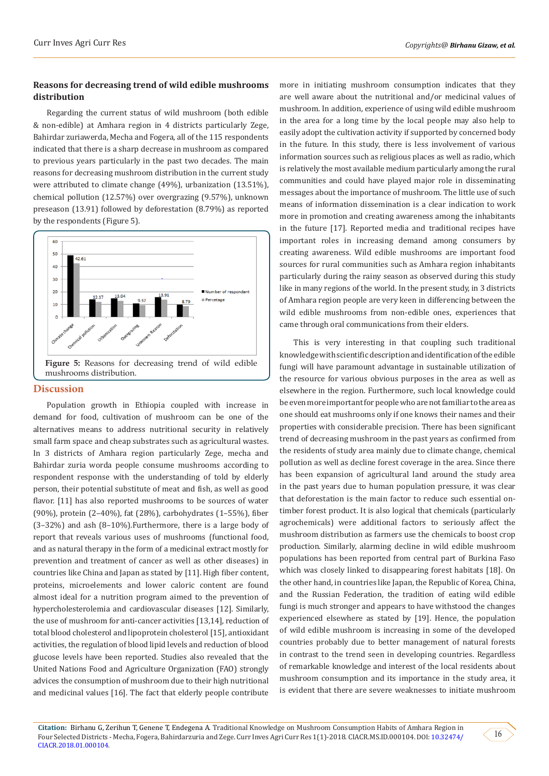# **Reasons for decreasing trend of wild edible mushrooms distribution**

Regarding the current status of wild mushroom (both edible & non-edible) at Amhara region in 4 districts particularly Zege, Bahirdar zuriawerda, Mecha and Fogera, all of the 115 respondents indicated that there is a sharp decrease in mushroom as compared to previous years particularly in the past two decades. The main reasons for decreasing mushroom distribution in the current study were attributed to climate change (49%), urbanization (13.51%), chemical pollution (12.57%) over overgrazing (9.57%), unknown preseason (13.91) followed by deforestation (8.79%) as reported by the respondents (Figure 5).



#### **Discussion**

Population growth in Ethiopia coupled with increase in demand for food, cultivation of mushroom can be one of the alternatives means to address nutritional security in relatively small farm space and cheap substrates such as agricultural wastes. In 3 districts of Amhara region particularly Zege, mecha and Bahirdar zuria worda people consume mushrooms according to respondent response with the understanding of told by elderly person, their potential substitute of meat and fish, as well as good flavor. [11] has also reported mushrooms to be sources of water (90%), protein (2–40%), fat (28%), carbohydrates (1–55%), fiber (3–32%) and ash (8–10%).Furthermore, there is a large body of report that reveals various uses of mushrooms (functional food, and as natural therapy in the form of a medicinal extract mostly for prevention and treatment of cancer as well as other diseases) in countries like China and Japan as stated by [11]. High fiber content, proteins, microelements and lower caloric content are found almost ideal for a nutrition program aimed to the prevention of hypercholesterolemia and cardiovascular diseases [12]. Similarly, the use of mushroom for anti-cancer activities [13,14], reduction of total blood cholesterol and lipoprotein cholesterol [15], antioxidant activities, the regulation of blood lipid levels and reduction of blood glucose levels have been reported. Studies also revealed that the United Nations Food and Agriculture Organization (FAO) strongly advices the consumption of mushroom due to their high nutritional and medicinal values [16]. The fact that elderly people contribute

more in initiating mushroom consumption indicates that they are well aware about the nutritional and/or medicinal values of mushroom. In addition, experience of using wild edible mushroom in the area for a long time by the local people may also help to easily adopt the cultivation activity if supported by concerned body in the future. In this study, there is less involvement of various information sources such as religious places as well as radio, which is relatively the most available medium particularly among the rural communities and could have played major role in disseminating messages about the importance of mushroom. The little use of such means of information dissemination is a clear indication to work more in promotion and creating awareness among the inhabitants in the future [17]. Reported media and traditional recipes have important roles in increasing demand among consumers by creating awareness. Wild edible mushrooms are important food sources for rural communities such as Amhara region inhabitants particularly during the rainy season as observed during this study like in many regions of the world. In the present study, in 3 districts of Amhara region people are very keen in differencing between the wild edible mushrooms from non-edible ones, experiences that came through oral communications from their elders.

This is very interesting in that coupling such traditional knowledge with scientific description and identification of the edible fungi will have paramount advantage in sustainable utilization of the resource for various obvious purposes in the area as well as elsewhere in the region. Furthermore, such local knowledge could be even more important for people who are not familiar to the area as one should eat mushrooms only if one knows their names and their properties with considerable precision. There has been significant trend of decreasing mushroom in the past years as confirmed from the residents of study area mainly due to climate change, chemical pollution as well as decline forest coverage in the area. Since there has been expansion of agricultural land around the study area in the past years due to human population pressure, it was clear that deforestation is the main factor to reduce such essential ontimber forest product. It is also logical that chemicals (particularly agrochemicals) were additional factors to seriously affect the mushroom distribution as farmers use the chemicals to boost crop production. Similarly, alarming decline in wild edible mushroom populations has been reported from central part of Burkina Faso which was closely linked to disappearing forest habitats [18]. On the other hand, in countries like Japan, the Republic of Korea, China, and the Russian Federation, the tradition of eating wild edible fungi is much stronger and appears to have withstood the changes experienced elsewhere as stated by [19]. Hence, the population of wild edible mushroom is increasing in some of the developed countries probably due to better management of natural forests in contrast to the trend seen in developing countries. Regardless of remarkable knowledge and interest of the local residents about mushroom consumption and its importance in the study area, it is evident that there are severe weaknesses to initiate mushroom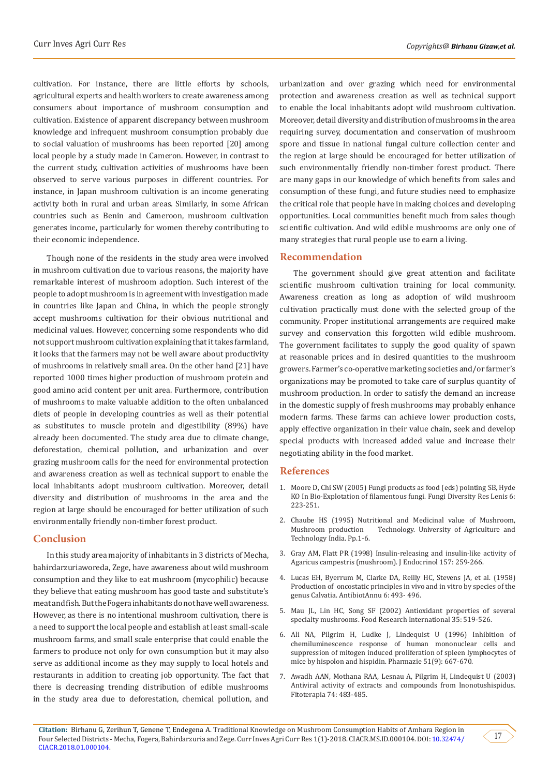cultivation. For instance, there are little efforts by schools, agricultural experts and health workers to create awareness among consumers about importance of mushroom consumption and cultivation. Existence of apparent discrepancy between mushroom knowledge and infrequent mushroom consumption probably due to social valuation of mushrooms has been reported [20] among local people by a study made in Cameron. However, in contrast to the current study, cultivation activities of mushrooms have been observed to serve various purposes in different countries. For instance, in Japan mushroom cultivation is an income generating activity both in rural and urban areas. Similarly, in some African countries such as Benin and Cameroon, mushroom cultivation generates income, particularly for women thereby contributing to their economic independence.

Though none of the residents in the study area were involved in mushroom cultivation due to various reasons, the majority have remarkable interest of mushroom adoption. Such interest of the people to adopt mushroom is in agreement with investigation made in countries like Japan and China, in which the people strongly accept mushrooms cultivation for their obvious nutritional and medicinal values. However, concerning some respondents who did not support mushroom cultivation explaining that it takes farmland, it looks that the farmers may not be well aware about productivity of mushrooms in relatively small area. On the other hand [21] have reported 1000 times higher production of mushroom protein and good amino acid content per unit area. Furthermore, contribution of mushrooms to make valuable addition to the often unbalanced diets of people in developing countries as well as their potential as substitutes to muscle protein and digestibility (89%) have already been documented. The study area due to climate change, deforestation, chemical pollution, and urbanization and over grazing mushroom calls for the need for environmental protection and awareness creation as well as technical support to enable the local inhabitants adopt mushroom cultivation. Moreover, detail diversity and distribution of mushrooms in the area and the region at large should be encouraged for better utilization of such environmentally friendly non-timber forest product.

# **Conclusion**

In this study area majority of inhabitants in 3 districts of Mecha, bahirdarzuriaworeda, Zege, have awareness about wild mushroom consumption and they like to eat mushroom (mycophilic) because they believe that eating mushroom has good taste and substitute's meat and fish. But the Fogera inhabitants do not have well awareness. However, as there is no intentional mushroom cultivation, there is a need to support the local people and establish at least small-scale mushroom farms, and small scale enterprise that could enable the farmers to produce not only for own consumption but it may also serve as additional income as they may supply to local hotels and restaurants in addition to creating job opportunity. The fact that there is decreasing trending distribution of edible mushrooms in the study area due to deforestation, chemical pollution, and urbanization and over grazing which need for environmental protection and awareness creation as well as technical support to enable the local inhabitants adopt wild mushroom cultivation. Moreover, detail diversity and distribution of mushrooms in the area requiring survey, documentation and conservation of mushroom spore and tissue in national fungal culture collection center and the region at large should be encouraged for better utilization of such environmentally friendly non-timber forest product. There are many gaps in our knowledge of which benefits from sales and consumption of these fungi, and future studies need to emphasize the critical role that people have in making choices and developing opportunities. Local communities benefit much from sales though scientific cultivation. And wild edible mushrooms are only one of many strategies that rural people use to earn a living.

## **Recommendation**

The government should give great attention and facilitate scientific mushroom cultivation training for local community. Awareness creation as long as adoption of wild mushroom cultivation practically must done with the selected group of the community. Proper institutional arrangements are required make survey and conservation this forgotten wild edible mushroom. The government facilitates to supply the good quality of spawn at reasonable prices and in desired quantities to the mushroom growers. Farmer's co-operative marketing societies and/or farmer's organizations may be promoted to take care of surplus quantity of mushroom production. In order to satisfy the demand an increase in the domestic supply of fresh mushrooms may probably enhance modern farms. These farms can achieve lower production costs, apply effective organization in their value chain, seek and develop special products with increased added value and increase their negotiating ability in the food market.

## **References**

- 1. [Moore D, Chi SW \(2005\) Fungi products as food \(eds\) pointing SB, Hyde](http://www.davidmoore.org.uk/Assets/Printed_documents/my_reprints/2001_MooreChiu_Fungal_products_as_Food.pdf) [KO In Bio-Explotation of filamentous fungi. Fungi Diversity Res Lenis 6:](http://www.davidmoore.org.uk/Assets/Printed_documents/my_reprints/2001_MooreChiu_Fungal_products_as_Food.pdf) [223-251.](http://www.davidmoore.org.uk/Assets/Printed_documents/my_reprints/2001_MooreChiu_Fungal_products_as_Food.pdf)
- 2. Chaube HS (1995) Nutritional and Medicinal value of Mushroom, Technology. University of Agriculture and Technology India. Pp.1-6.
- 3. [Gray AM, Flatt PR \(1998\) Insulin-releasing and insulin-like activity of](https://www.ncbi.nlm.nih.gov/pubmed/9659289) [Agaricus campestris \(mushroom\). J Endocrinol 157: 259-266.](https://www.ncbi.nlm.nih.gov/pubmed/9659289)
- 4. [Lucas EH, Byerrum M, Clarke DA, Reilly HC, Stevens JA, et al. \(1958\)](https://www.ncbi.nlm.nih.gov/pubmed/13637789) [Production of oncostatic principles in vivo and in vitro by species of the](https://www.ncbi.nlm.nih.gov/pubmed/13637789) [genus Calvatia. AntibiotAnnu 6: 493- 496.](https://www.ncbi.nlm.nih.gov/pubmed/13637789)
- 5. [Mau JL, Lin HC, Song SF \(2002\) Antioxidant properties of several](https://www.sciencedirect.com/science/article/pii/S0963996901001508) specialty mushrooms. [Food Research International 35: 519-526.](https://www.sciencedirect.com/science/article/pii/S0963996901001508)
- 6. [Ali NA, Pilgrim H, Ludke J, Lindequist U \(1996\) Inhibition of](https://www.ncbi.nlm.nih.gov/pubmed/8878257) [chemiluminescence response of human mononuclear cells and](https://www.ncbi.nlm.nih.gov/pubmed/8878257) [suppression of mitogen induced proliferation of spleen lymphocytes of](https://www.ncbi.nlm.nih.gov/pubmed/8878257) [mice by hispolon and hispidin. Pharmazie 51\(9\): 667-670.](https://www.ncbi.nlm.nih.gov/pubmed/8878257)
- 7. [Awadh AAN, Mothana RAA, Lesnau A, Pilgrim H, Lindequist U \(2003\)](https://www.ncbi.nlm.nih.gov/pubmed/12837367) [Antiviral activity of extracts and compounds from Inonotushispidus.](https://www.ncbi.nlm.nih.gov/pubmed/12837367) [Fitoterapia 74: 483-485.](https://www.ncbi.nlm.nih.gov/pubmed/12837367)